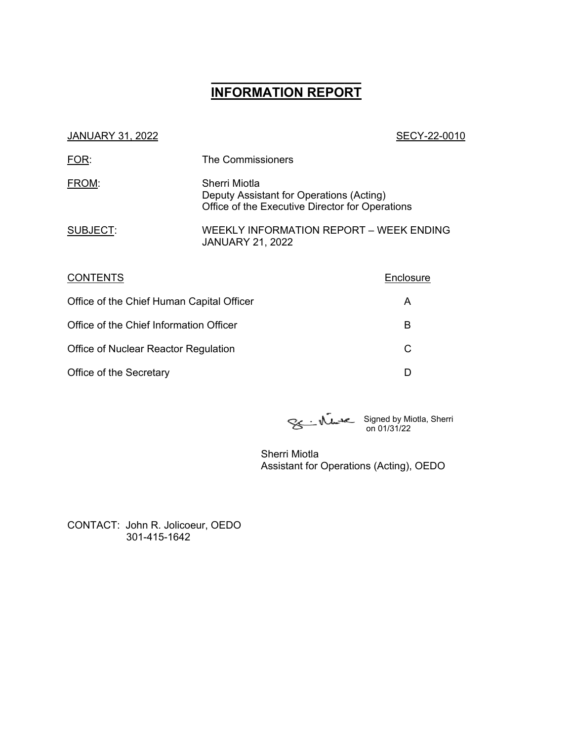# **\_\_\_\_\_\_\_\_\_\_\_\_\_\_\_\_\_\_ INFORMATION REPORT**

# JANUARY 31, 2022 20010 FOR: The Commissioners FROM: Sherri Miotla Deputy Assistant for Operations (Acting) Office of the Executive Director for Operations SUBJECT: WEEKLY INFORMATION REPORT – WEEK ENDING JANUARY 21, 2022 CONTENTS Enclosure Office of the Chief Human Capital Officer And A Office of the Chief Information Officer B Office of Nuclear Reactor Regulation C Office of the Secretary D

Signed by Miotla, Sherri on 01/31/22

Sherri Miotla Assistant for Operations (Acting), OEDO

CONTACT: John R. Jolicoeur, OEDO 301-415-1642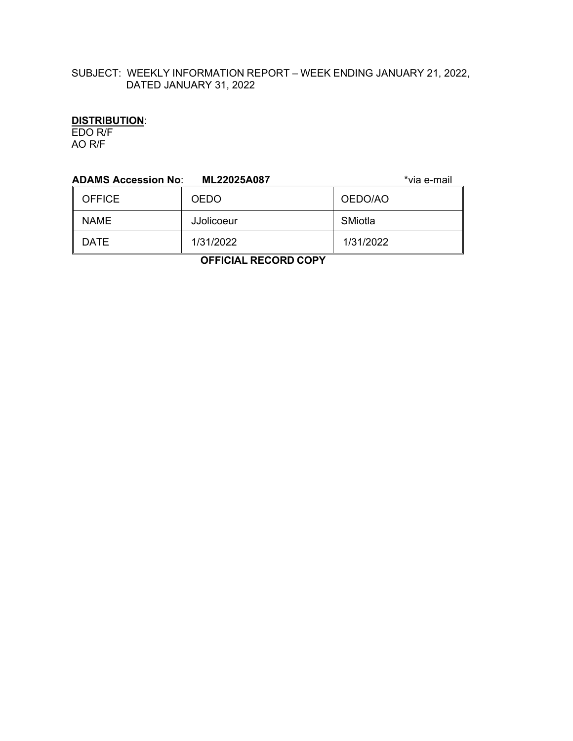## SUBJECT: WEEKLY INFORMATION REPORT – WEEK ENDING JANUARY 21, 2022, DATED JANUARY 31, 2022

#### **DISTRIBUTION**:

EDO R/F AO R/F

| <b>ADAMS Accession No:</b> | ML22025A087 | *via e-mail |  |
|----------------------------|-------------|-------------|--|
| <b>OFFICE</b>              | <b>OEDO</b> | OEDO/AO     |  |
| <b>NAME</b>                | JJolicoeur  | SMiotla     |  |
| <b>DATE</b>                | 1/31/2022   | 1/31/2022   |  |
| .                          |             |             |  |

 **OFFICIAL RECORD COPY**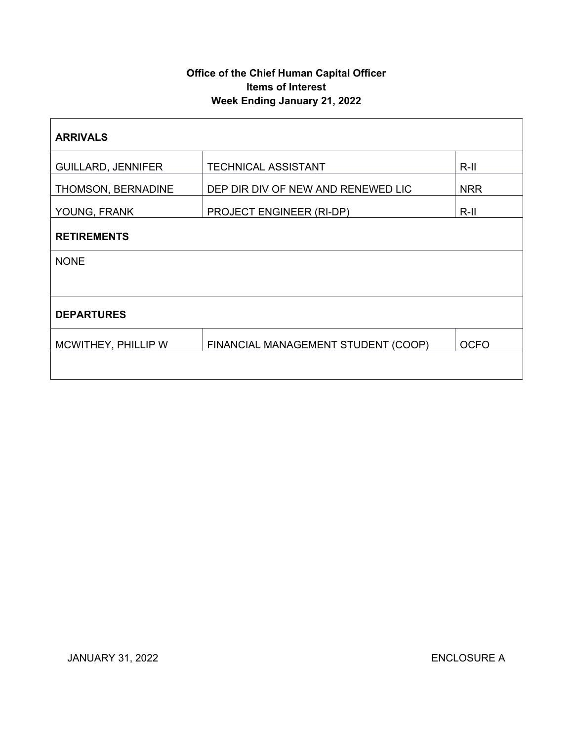# **Office of the Chief Human Capital Officer Items of Interest Week Ending January 21, 2022**

| <b>ARRIVALS</b>           |                                     |             |  |  |
|---------------------------|-------------------------------------|-------------|--|--|
| <b>GUILLARD, JENNIFER</b> | <b>TECHNICAL ASSISTANT</b>          | $R$ -II     |  |  |
| THOMSON, BERNADINE        | DEP DIR DIV OF NEW AND RENEWED LIC  | <b>NRR</b>  |  |  |
| YOUNG, FRANK              | PROJECT ENGINEER (RI-DP)            | $R$ -II     |  |  |
| <b>RETIREMENTS</b>        |                                     |             |  |  |
| <b>NONE</b>               |                                     |             |  |  |
|                           |                                     |             |  |  |
| <b>DEPARTURES</b>         |                                     |             |  |  |
| MCWITHEY, PHILLIP W       | FINANCIAL MANAGEMENT STUDENT (COOP) | <b>OCFO</b> |  |  |
|                           |                                     |             |  |  |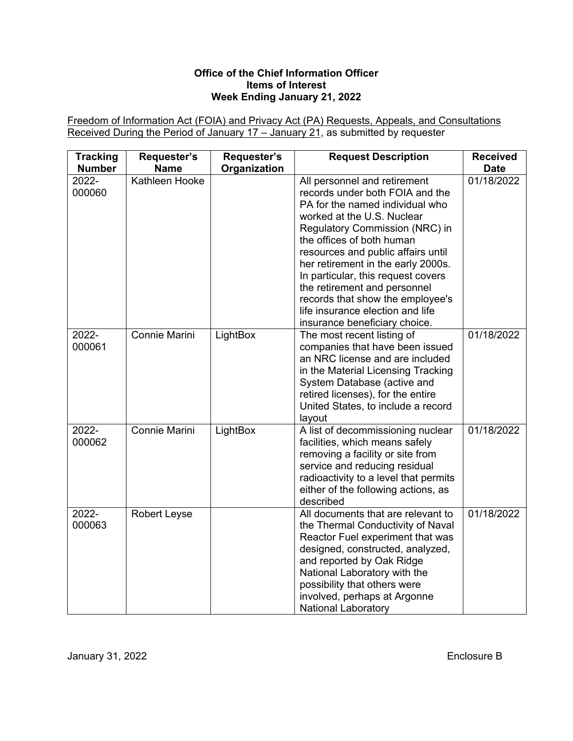#### **Office of the Chief Information Officer Items of Interest Week Ending January 21, 2022**

Freedom of Information Act (FOIA) and Privacy Act (PA) Requests, Appeals, and Consultations Received During the Period of January 17 – January 21, as submitted by requester

| <b>Tracking</b><br><b>Number</b> | Requester's<br><b>Name</b> | Requester's<br>Organization | <b>Request Description</b>                                                                                                                                                                                                                                                                                                                                                                                                                                 | <b>Received</b><br><b>Date</b> |
|----------------------------------|----------------------------|-----------------------------|------------------------------------------------------------------------------------------------------------------------------------------------------------------------------------------------------------------------------------------------------------------------------------------------------------------------------------------------------------------------------------------------------------------------------------------------------------|--------------------------------|
| 2022-<br>000060                  | Kathleen Hooke             |                             | All personnel and retirement<br>records under both FOIA and the<br>PA for the named individual who<br>worked at the U.S. Nuclear<br>Regulatory Commission (NRC) in<br>the offices of both human<br>resources and public affairs until<br>her retirement in the early 2000s.<br>In particular, this request covers<br>the retirement and personnel<br>records that show the employee's<br>life insurance election and life<br>insurance beneficiary choice. | 01/18/2022                     |
| 2022-<br>000061                  | Connie Marini              | LightBox                    | The most recent listing of<br>companies that have been issued<br>an NRC license and are included<br>in the Material Licensing Tracking<br>System Database (active and<br>retired licenses), for the entire<br>United States, to include a record<br>layout                                                                                                                                                                                                 | 01/18/2022                     |
| 2022-<br>000062                  | Connie Marini              | LightBox                    | A list of decommissioning nuclear<br>facilities, which means safely<br>removing a facility or site from<br>service and reducing residual<br>radioactivity to a level that permits<br>either of the following actions, as<br>described                                                                                                                                                                                                                      | 01/18/2022                     |
| 2022-<br>000063                  | <b>Robert Leyse</b>        |                             | All documents that are relevant to<br>the Thermal Conductivity of Naval<br>Reactor Fuel experiment that was<br>designed, constructed, analyzed,<br>and reported by Oak Ridge<br>National Laboratory with the<br>possibility that others were<br>involved, perhaps at Argonne<br><b>National Laboratory</b>                                                                                                                                                 | 01/18/2022                     |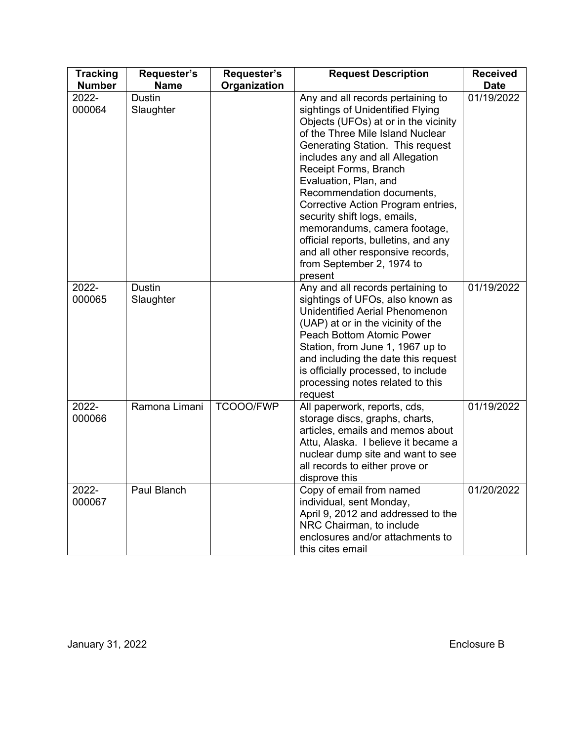| <b>Tracking</b><br><b>Number</b> | Requester's<br><b>Name</b> | Requester's<br>Organization | <b>Request Description</b>                                                                                                                                                                                                                                                                                                                                                                                                                                                                                                         | <b>Received</b><br><b>Date</b> |
|----------------------------------|----------------------------|-----------------------------|------------------------------------------------------------------------------------------------------------------------------------------------------------------------------------------------------------------------------------------------------------------------------------------------------------------------------------------------------------------------------------------------------------------------------------------------------------------------------------------------------------------------------------|--------------------------------|
| 2022-<br>000064                  | <b>Dustin</b><br>Slaughter |                             | Any and all records pertaining to<br>sightings of Unidentified Flying<br>Objects (UFOs) at or in the vicinity<br>of the Three Mile Island Nuclear<br>Generating Station. This request<br>includes any and all Allegation<br>Receipt Forms, Branch<br>Evaluation, Plan, and<br>Recommendation documents,<br>Corrective Action Program entries,<br>security shift logs, emails,<br>memorandums, camera footage,<br>official reports, bulletins, and any<br>and all other responsive records,<br>from September 2, 1974 to<br>present | 01/19/2022                     |
| 2022-<br>000065                  | <b>Dustin</b><br>Slaughter |                             | Any and all records pertaining to<br>sightings of UFOs, also known as<br><b>Unidentified Aerial Phenomenon</b><br>(UAP) at or in the vicinity of the<br>Peach Bottom Atomic Power<br>Station, from June 1, 1967 up to<br>and including the date this request<br>is officially processed, to include<br>processing notes related to this<br>request                                                                                                                                                                                 | 01/19/2022                     |
| 2022-<br>000066                  | Ramona Limani              | TCOOO/FWP                   | All paperwork, reports, cds,<br>storage discs, graphs, charts,<br>articles, emails and memos about<br>Attu, Alaska. I believe it became a<br>nuclear dump site and want to see<br>all records to either prove or<br>disprove this                                                                                                                                                                                                                                                                                                  | 01/19/2022                     |
| 2022-<br>000067                  | Paul Blanch                |                             | Copy of email from named<br>individual, sent Monday,<br>April 9, 2012 and addressed to the<br>NRC Chairman, to include<br>enclosures and/or attachments to<br>this cites email                                                                                                                                                                                                                                                                                                                                                     | 01/20/2022                     |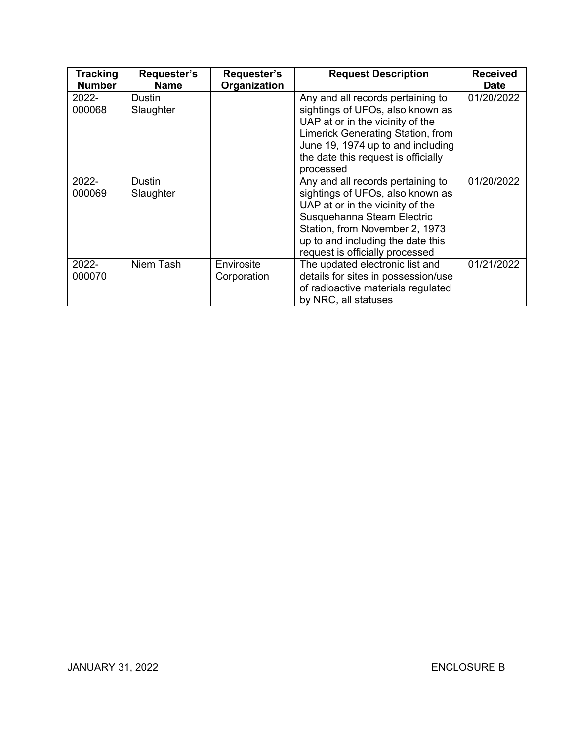| <b>Tracking</b><br><b>Number</b> | Requester's<br><b>Name</b> | Requester's<br>Organization | <b>Request Description</b>                                                                                                                                                                                                                        | <b>Received</b><br><b>Date</b> |
|----------------------------------|----------------------------|-----------------------------|---------------------------------------------------------------------------------------------------------------------------------------------------------------------------------------------------------------------------------------------------|--------------------------------|
| $2022 -$<br>000068               | Dustin<br>Slaughter        |                             | Any and all records pertaining to<br>sightings of UFOs, also known as<br>UAP at or in the vicinity of the<br>Limerick Generating Station, from<br>June 19, 1974 up to and including<br>the date this request is officially<br>processed           | 01/20/2022                     |
| 2022-<br>000069                  | Dustin<br>Slaughter        |                             | Any and all records pertaining to<br>sightings of UFOs, also known as<br>UAP at or in the vicinity of the<br>Susquehanna Steam Electric<br>Station, from November 2, 1973<br>up to and including the date this<br>request is officially processed | 01/20/2022                     |
| 2022-<br>000070                  | Niem Tash                  | Envirosite<br>Corporation   | The updated electronic list and<br>details for sites in possession/use<br>of radioactive materials regulated<br>by NRC, all statuses                                                                                                              | 01/21/2022                     |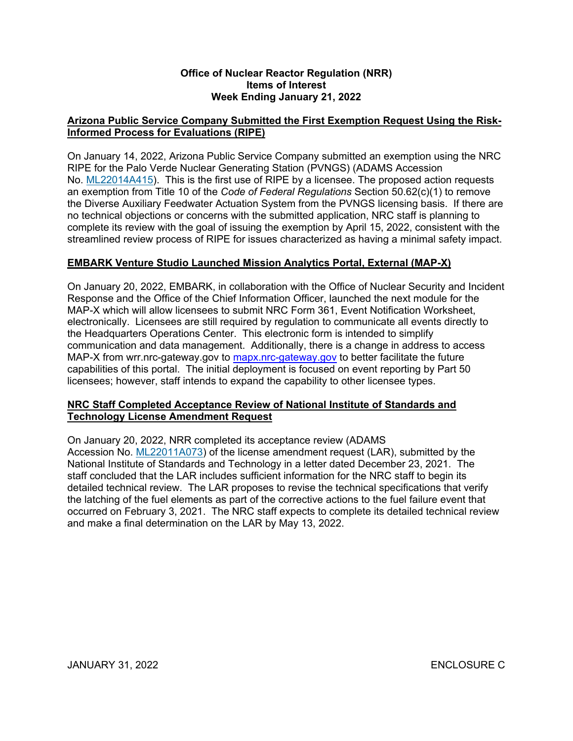#### **Office of Nuclear Reactor Regulation (NRR) Items of Interest Week Ending January 21, 2022**

## **Arizona Public Service Company Submitted the First Exemption Request Using the Risk-Informed Process for Evaluations (RIPE)**

On January 14, 2022, Arizona Public Service Company submitted an exemption using the NRC RIPE for the Palo Verde Nuclear Generating Station (PVNGS) (ADAMS Accession No. [ML22014A415\)](https://adamsxt.nrc.gov/navigator/AdamsXT/content/downloadContent.faces?objectStoreName=MainLibrary&vsId=%7b41066E4C-8931-CB47-86FF-7E5A71B00000%7d&ForceBrowserDownloadMgrPrompt=false). This is the first use of RIPE by a licensee. The proposed action requests an exemption from Title 10 of the *Code of Federal Regulations* Section 50.62(c)(1) to remove the Diverse Auxiliary Feedwater Actuation System from the PVNGS licensing basis. If there are no technical objections or concerns with the submitted application, NRC staff is planning to complete its review with the goal of issuing the exemption by April 15, 2022, consistent with the streamlined review process of RIPE for issues characterized as having a minimal safety impact.

#### **EMBARK Venture Studio Launched Mission Analytics Portal, External (MAP-X)**

On January 20, 2022, EMBARK, in collaboration with the Office of Nuclear Security and Incident Response and the Office of the Chief Information Officer, launched the next module for the MAP-X which will allow licensees to submit NRC Form 361, Event Notification Worksheet, electronically. Licensees are still required by regulation to communicate all events directly to the Headquarters Operations Center. This electronic form is intended to simplify communication and data management. Additionally, there is a change in address to access MAP-X from wrr.nrc-gateway.gov to [mapx.nrc-gateway.gov](https://mapx.nrc-gateway.gov/) to better facilitate the future capabilities of this portal. The initial deployment is focused on event reporting by Part 50 licensees; however, staff intends to expand the capability to other licensee types.

#### **NRC Staff Completed Acceptance Review of National Institute of Standards and Technology License Amendment Request**

On January 20, 2022, NRR completed its acceptance review (ADAMS Accession No. [ML22011A073\)](https://adamsxt.nrc.gov/navigator/AdamsXT/content/downloadContent.faces?objectStoreName=MainLibrary&vsId=%7bADC14155-C40B-CDDF-8695-7E49A4B00000%7d&ForceBrowserDownloadMgrPrompt=false) of the license amendment request (LAR), submitted by the National Institute of Standards and Technology in a letter dated December 23, 2021. The staff concluded that the LAR includes sufficient information for the NRC staff to begin its detailed technical review. The LAR proposes to revise the technical specifications that verify the latching of the fuel elements as part of the corrective actions to the fuel failure event that occurred on February 3, 2021. The NRC staff expects to complete its detailed technical review and make a final determination on the LAR by May 13, 2022.